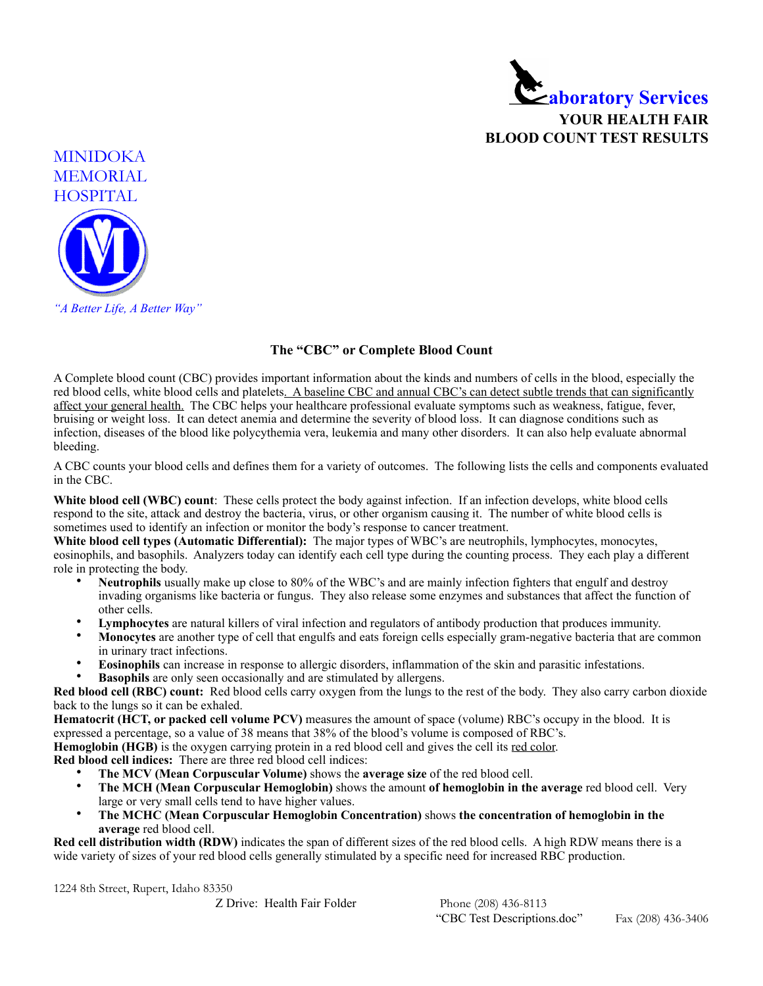



## **The "CBC" or Complete Blood Count**

A Complete blood count (CBC) provides important information about the kinds and numbers of cells in the blood, especially the red blood cells, white blood cells and platelets. A baseline CBC and annual CBC's can detect subtle trends that can significantly affect your general health. The CBC helps your healthcare professional evaluate symptoms such as weakness, fatigue, fever, bruising or weight loss. It can detect anemia and determine the severity of blood loss. It can diagnose conditions such as infection, diseases of the blood like polycythemia vera, leukemia and many other disorders. It can also help evaluate abnormal bleeding.

A CBC counts your blood cells and defines them for a variety of outcomes. The following lists the cells and components evaluated in the CBC.

**White blood cell (WBC) count**: These cells protect the body against infection. If an infection develops, white blood cells respond to the site, attack and destroy the bacteria, virus, or other organism causing it. The number of white blood cells is sometimes used to identify an infection or monitor the body's response to cancer treatment.

**White blood cell types (Automatic Differential):** The major types of WBC's are neutrophils, lymphocytes, monocytes, eosinophils, and basophils. Analyzers today can identify each cell type during the counting process. They each play a different role in protecting the body.

- **Neutrophils** usually make up close to 80% of the WBC's and are mainly infection fighters that engulf and destroy invading organisms like bacteria or fungus. They also release some enzymes and substances that affect the function of other cells.
- **Lymphocytes** are natural killers of viral infection and regulators of antibody production that produces immunity.
- **Monocytes** are another type of cell that engulfs and eats foreign cells especially gram-negative bacteria that are common in urinary tract infections.
- **Eosinophils** can increase in response to allergic disorders, inflammation of the skin and parasitic infestations.
- **Basophils** are only seen occasionally and are stimulated by allergens.

**Red blood cell (RBC) count:** Red blood cells carry oxygen from the lungs to the rest of the body. They also carry carbon dioxide back to the lungs so it can be exhaled.

**Hematocrit (HCT, or packed cell volume PCV)** measures the amount of space (volume) RBC's occupy in the blood. It is expressed a percentage, so a value of 38 means that 38% of the blood's volume is composed of RBC's.

**Hemoglobin (HGB)** is the oxygen carrying protein in a red blood cell and gives the cell its red color.

**Red blood cell indices:** There are three red blood cell indices:

- **The MCV (Mean Corpuscular Volume)** shows the **average size** of the red blood cell.
- **The MCH (Mean Corpuscular Hemoglobin)** shows the amount **of hemoglobin in the average** red blood cell. Very large or very small cells tend to have higher values.
- **The MCHC (Mean Corpuscular Hemoglobin Concentration)** shows **the concentration of hemoglobin in the average** red blood cell.

**Red cell distribution width (RDW)** indicates the span of different sizes of the red blood cells. A high RDW means there is a wide variety of sizes of your red blood cells generally stimulated by a specific need for increased RBC production.

1224 8th Street, Rupert, Idaho 83350

Z Drive: Health Fair Folder Phone (208) 436-8113

"CBC Test Descriptions.doc" Fax (208) 436-3406